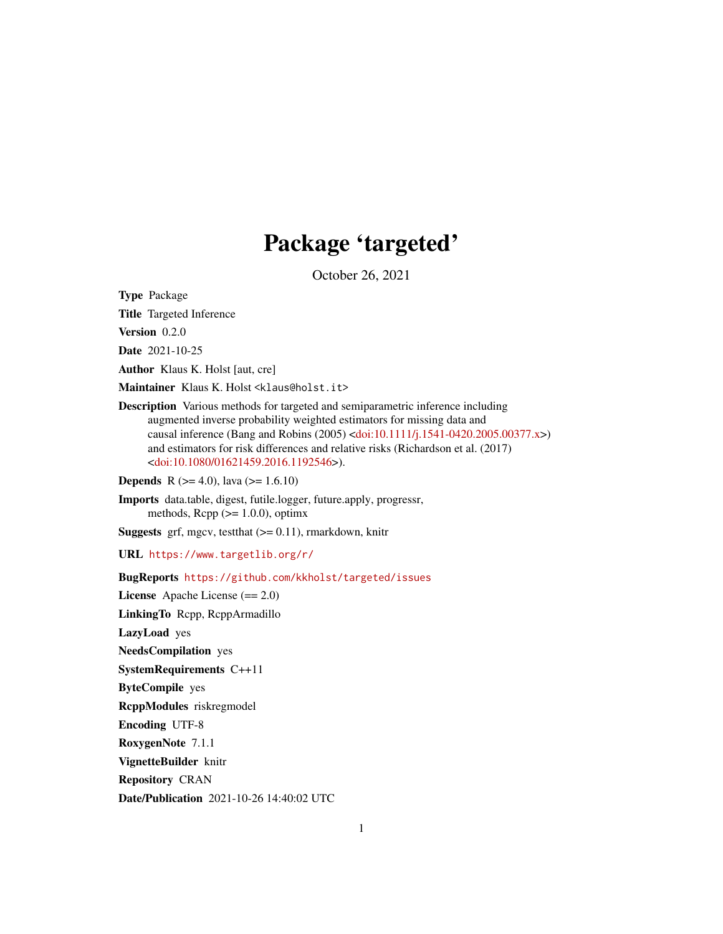## Package 'targeted'

October 26, 2021

<span id="page-0-0"></span>Type Package

Title Targeted Inference

Version 0.2.0

Date 2021-10-25

Author Klaus K. Holst [aut, cre]

Maintainer Klaus K. Holst <klaus@holst.it>

Description Various methods for targeted and semiparametric inference including augmented inverse probability weighted estimators for missing data and causal inference (Bang and Robins (2005) [<doi:10.1111/j.1541-0420.2005.00377.x>](https://doi.org/10.1111/j.1541-0420.2005.00377.x)) and estimators for risk differences and relative risks (Richardson et al. (2017) [<doi:10.1080/01621459.2016.1192546>](https://doi.org/10.1080/01621459.2016.1192546)).

**Depends** R  $(>= 4.0)$ , lava  $(>= 1.6.10)$ 

Imports data.table, digest, futile.logger, future.apply, progressr, methods,  $\text{Rcpp}$  ( $>= 1.0.0$ ), optimx

**Suggests** grf, mgcv, test that  $(>= 0.11)$ , rmarkdown, knitr

URL <https://www.targetlib.org/r/>

BugReports <https://github.com/kkholst/targeted/issues>

License Apache License (== 2.0) LinkingTo Rcpp, RcppArmadillo LazyLoad yes NeedsCompilation yes SystemRequirements C++11 ByteCompile yes RcppModules riskregmodel Encoding UTF-8 RoxygenNote 7.1.1 VignetteBuilder knitr Repository CRAN Date/Publication 2021-10-26 14:40:02 UTC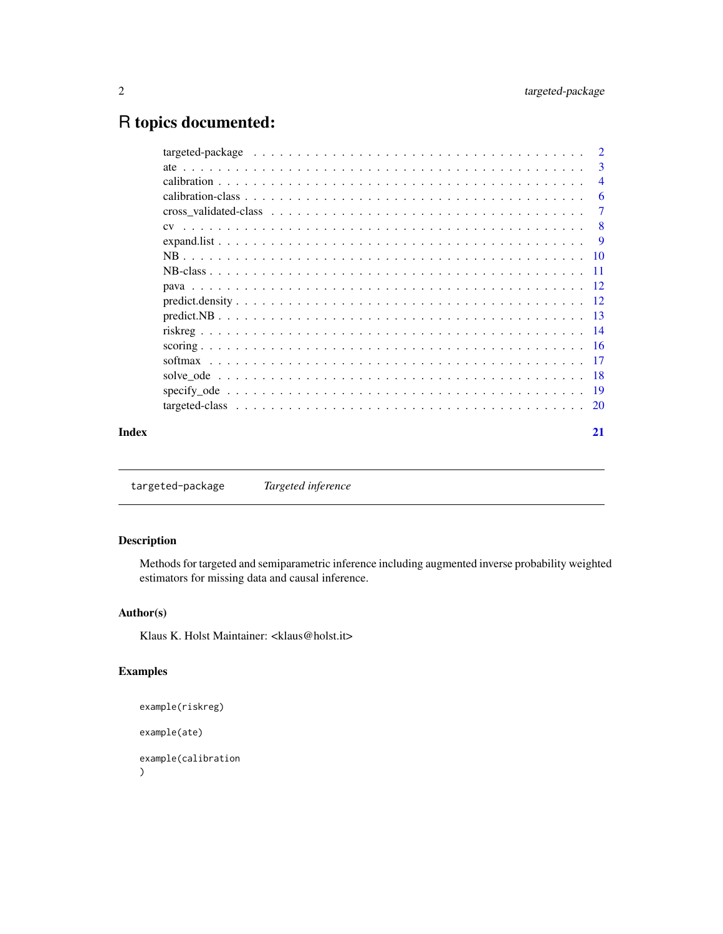## <span id="page-1-0"></span>R topics documented:

|       | -3             |
|-------|----------------|
|       | $\overline{4}$ |
|       | -6             |
|       | -7             |
|       | - 8            |
|       |                |
|       |                |
|       |                |
|       |                |
|       |                |
|       |                |
|       |                |
|       |                |
|       |                |
|       |                |
|       |                |
|       |                |
| Index | 21             |

targeted-package *Targeted inference*

#### Description

Methods for targeted and semiparametric inference including augmented inverse probability weighted estimators for missing data and causal inference.

#### Author(s)

Klaus K. Holst Maintainer: <klaus@holst.it>

#### Examples

```
example(riskreg)
example(ate)
example(calibration
)
```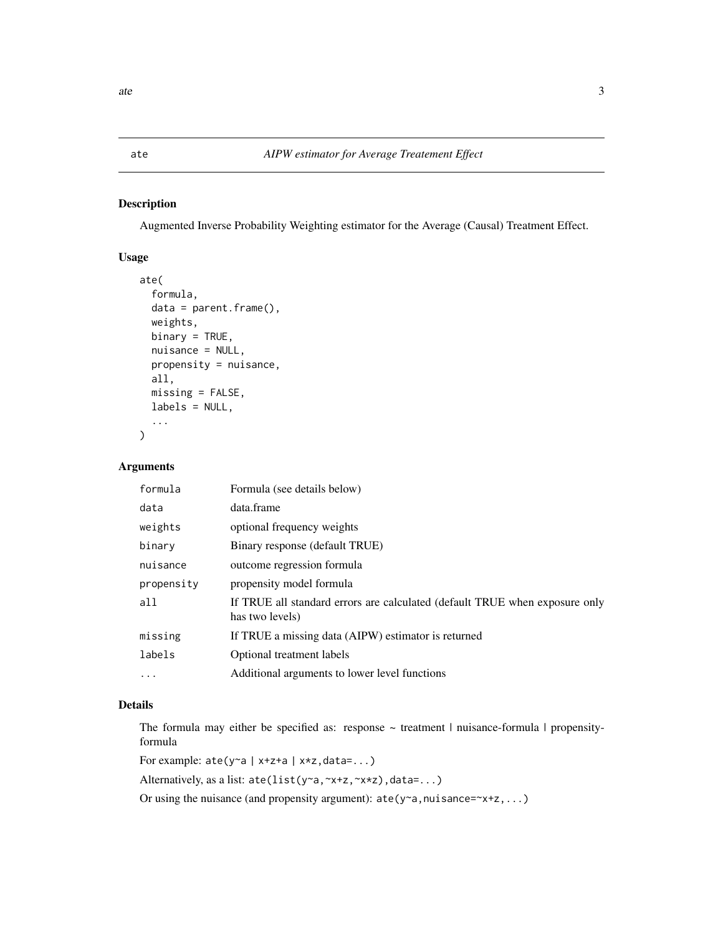<span id="page-2-1"></span><span id="page-2-0"></span>Augmented Inverse Probability Weighting estimator for the Average (Causal) Treatment Effect.

#### Usage

```
ate(
  formula,
  data = parent.frame(),weights,
 binary = TRUE,
  nuisance = NULL,
 propensity = nuisance,
 all,
 missing = FALSE,
 labels = NULL,
  ...
)
```
#### Arguments

| formula    | Formula (see details below)                                                                    |
|------------|------------------------------------------------------------------------------------------------|
| data       | data.frame                                                                                     |
| weights    | optional frequency weights                                                                     |
| binary     | Binary response (default TRUE)                                                                 |
| nuisance   | outcome regression formula                                                                     |
| propensity | propensity model formula                                                                       |
| all        | If TRUE all standard errors are calculated (default TRUE when exposure only<br>has two levels) |
| missing    | If TRUE a missing data (AIPW) estimator is returned                                            |
| labels     | Optional treatment labels                                                                      |
| .          | Additional arguments to lower level functions                                                  |
|            |                                                                                                |

#### Details

The formula may either be specified as: response  $\sim$  treatment | nuisance-formula | propensityformula

For example: ate(y~a | x+z+a | x\*z,data=...)

Alternatively, as a list: ate(list(y~a,~x+z,~x\*z),data=...)

Or using the nuisance (and propensity argument):  $ate(y \sim a, nuisance = \sim x + z, ...)$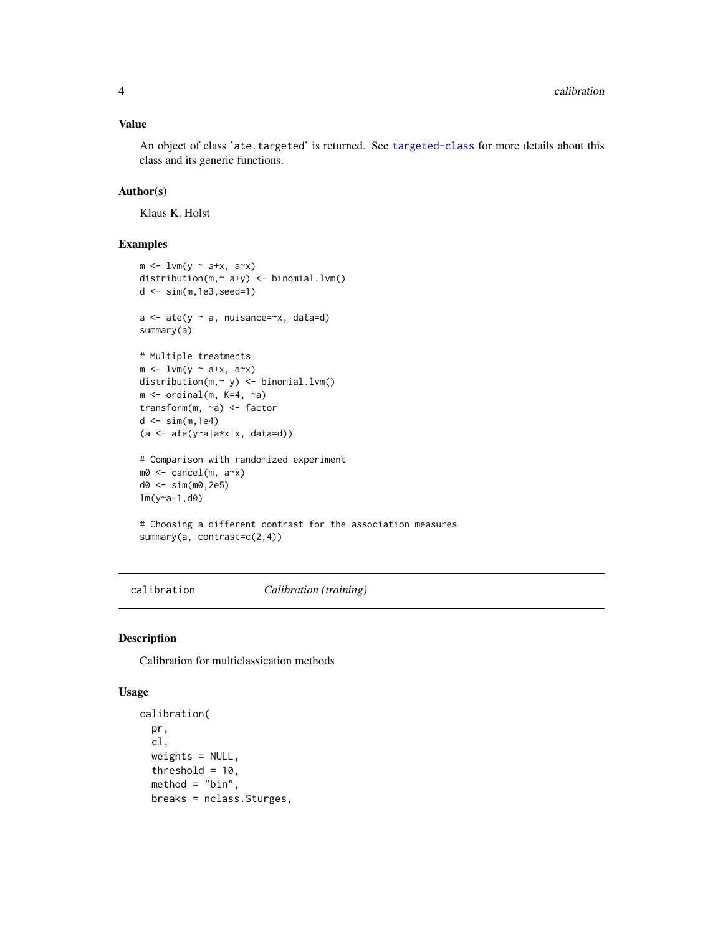#### <span id="page-3-0"></span>Value

An object of class 'ate.targeted' is returned. See [targeted-class](#page-19-1) for more details about this class and its generic functions.

#### Author(s)

Klaus K. Holst

#### Examples

```
m \leftarrow lvm(y ~ a+x, a~x)
distribution(m,~ a+y) <- binomial.lvm()
d <- sim(m,1e3,seed=1)
a \leftarrow \text{ate}(y \sim a, \text{nuisance} = x, \text{data}=d)summary(a)
# Multiple treatments
m \leftarrow lvm(y ~ a+x, a~x)
distribution(m,~ y) <- binomial.lvm()
m \leftarrow \text{ ordinal}(m, K=4, \sim a)transform(m, ~a) <- factor
d \leftarrow \text{sim}(m, 1e4)(a \leq a \text{ite}(y \leq a | a \times x | x, data=d))# Comparison with randomized experiment
m0 <- cancel(m, a~x)
d0 <- sim(m0,2e5)
lm(y~a-1,d0)
# Choosing a different contrast for the association measures
summary(a, contrast=c(2,4))
```
<span id="page-3-1"></span>calibration *Calibration (training)*

#### <span id="page-3-2"></span>Description

Calibration for multiclassication methods

#### Usage

```
calibration(
  pr,
 cl,
 weights = NULL,threshold = 10,
 method = "bin",breaks = nclass.Sturges,
```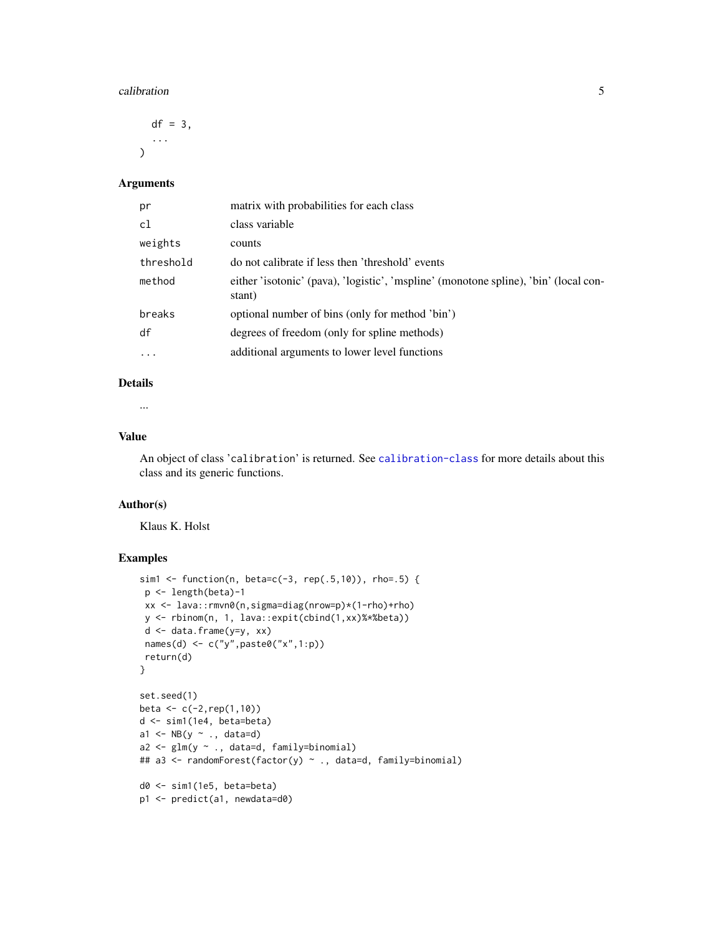#### calibration 5

 $df = 3$ , ...  $\lambda$ 

#### Arguments

| pr        | matrix with probabilities for each class                                                       |
|-----------|------------------------------------------------------------------------------------------------|
| c1        | class variable                                                                                 |
| weights   | counts                                                                                         |
| threshold | do not calibrate if less then 'threshold' events                                               |
| method    | either 'isotonic' (pava), 'logistic', 'mspline' (monotone spline), 'bin' (local con-<br>stant) |
| breaks    | optional number of bins (only for method 'bin')                                                |
| df        | degrees of freedom (only for spline methods)                                                   |
| $\cdot$   | additional arguments to lower level functions                                                  |

#### Details

...

#### Value

An object of class 'calibration' is returned. See [calibration-class](#page-5-1) for more details about this class and its generic functions.

#### Author(s)

Klaus K. Holst

#### Examples

```
sim1 <- function(n, beta=c(-3, rep(.5,10)), rho=.5) {
 p <- length(beta)-1
 xx <- lava::rmvn0(n,sigma=diag(nrow=p)*(1-rho)+rho)
 y <- rbinom(n, 1, lava::expit(cbind(1,xx)%*%beta))
 d <- data.frame(y=y, xx)
 names(d) <- c("y", paste0("x", 1:p))
return(d)
}
set.seed(1)
beta <- c(-2,rep(1,10))
d <- sim1(1e4, beta=beta)
a1 <- NB(y \sim ., data=d)a2 <- glm(y ~ ., data=d, family=binomial)
## a3 <- randomForest(factor(y) ~ ., data=d, family=binomial)
d0 <- sim1(1e5, beta=beta)
p1 <- predict(a1, newdata=d0)
```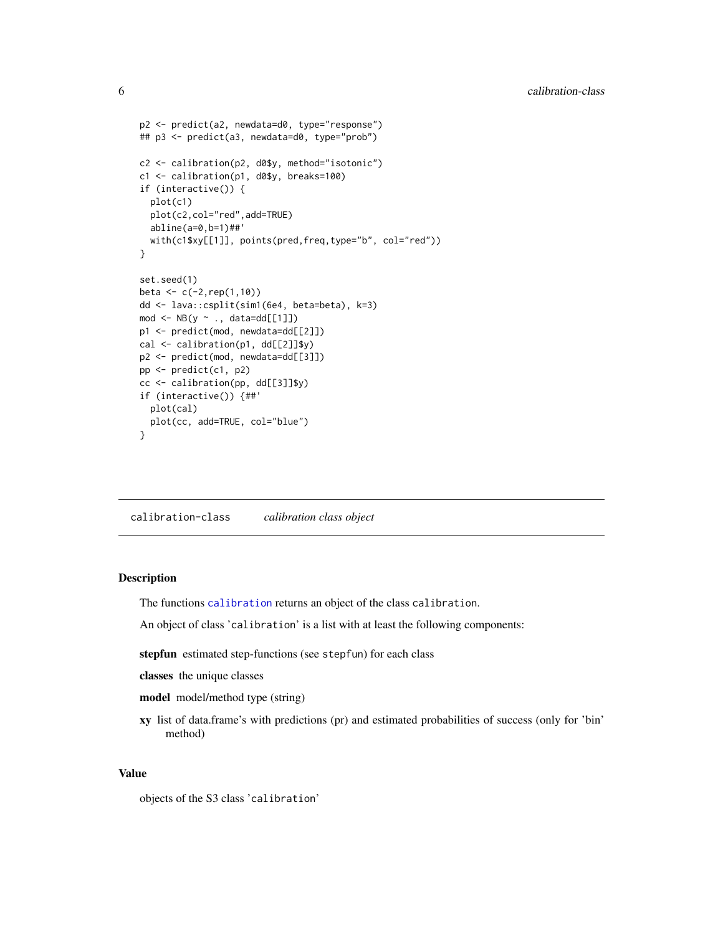```
p2 <- predict(a2, newdata=d0, type="response")
## p3 <- predict(a3, newdata=d0, type="prob")
c2 <- calibration(p2, d0$y, method="isotonic")
c1 <- calibration(p1, d0$y, breaks=100)
if (interactive()) {
  plot(c1)
  plot(c2,col="red",add=TRUE)
  abline(a=0,b=1)##'
  with(c1$xy[[1]], points(pred,freq,type="b", col="red"))
}
set.seed(1)
beta <- c(-2,rep(1,10))
dd <- lava::csplit(sim1(6e4, beta=beta), k=3)
mod \leftarrow NB(y \sim ., data = dd[[1]])p1 <- predict(mod, newdata=dd[[2]])
cal <- calibration(p1, dd[[2]]$y)
p2 <- predict(mod, newdata=dd[[3]])
pp <- predict(c1, p2)
cc <- calibration(pp, dd[[3]]$y)
if (interactive()) {##'
  plot(cal)
  plot(cc, add=TRUE, col="blue")
}
```
<span id="page-5-1"></span>calibration-class *calibration class object*

#### Description

The functions [calibration](#page-3-1) returns an object of the class calibration.

An object of class 'calibration' is a list with at least the following components:

stepfun estimated step-functions (see stepfun) for each class

classes the unique classes

model model/method type (string)

xy list of data.frame's with predictions (pr) and estimated probabilities of success (only for 'bin' method)

#### Value

objects of the S3 class 'calibration'

<span id="page-5-0"></span>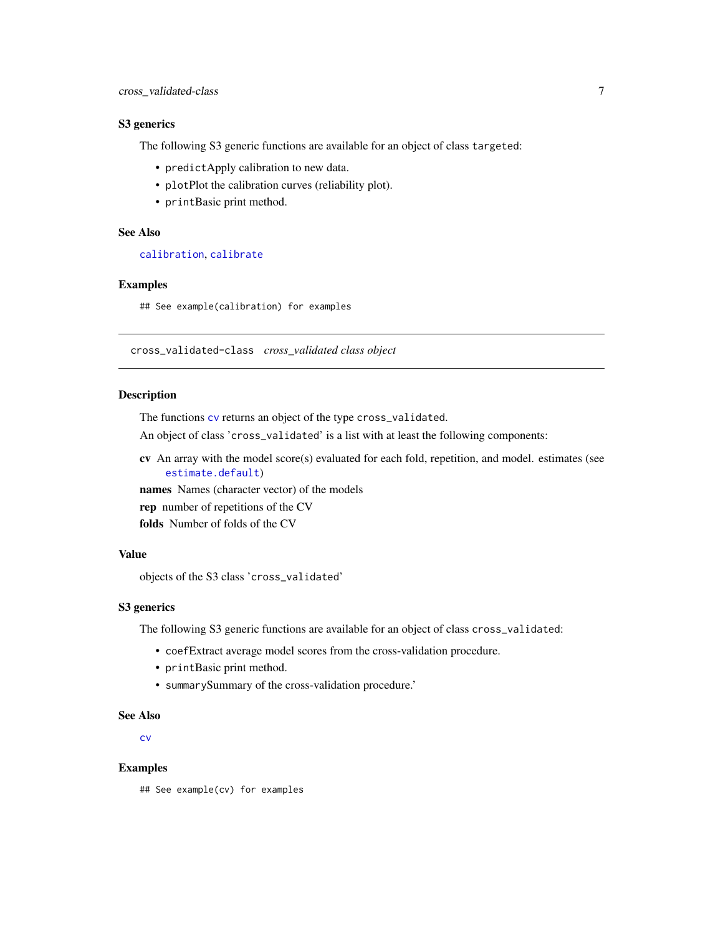#### <span id="page-6-0"></span>S3 generics

The following S3 generic functions are available for an object of class targeted:

- predictApply calibration to new data.
- plotPlot the calibration curves (reliability plot).
- printBasic print method.

#### See Also

[calibration](#page-3-1), [calibrate](#page-3-2)

#### Examples

## See example(calibration) for examples

<span id="page-6-1"></span>cross\_validated-class *cross\_validated class object*

#### **Description**

The functions [cv](#page-7-1) returns an object of the type cross\_validated.

An object of class 'cross\_validated' is a list with at least the following components:

cv An array with the model score(s) evaluated for each fold, repetition, and model. estimates (see [estimate.default](#page-0-0))

names Names (character vector) of the models

rep number of repetitions of the CV

folds Number of folds of the CV

#### Value

objects of the S3 class 'cross\_validated'

#### S3 generics

The following S3 generic functions are available for an object of class cross\_validated:

- coefExtract average model scores from the cross-validation procedure.
- printBasic print method.
- summarySummary of the cross-validation procedure.'

#### See Also

[cv](#page-7-1)

#### Examples

## See example(cv) for examples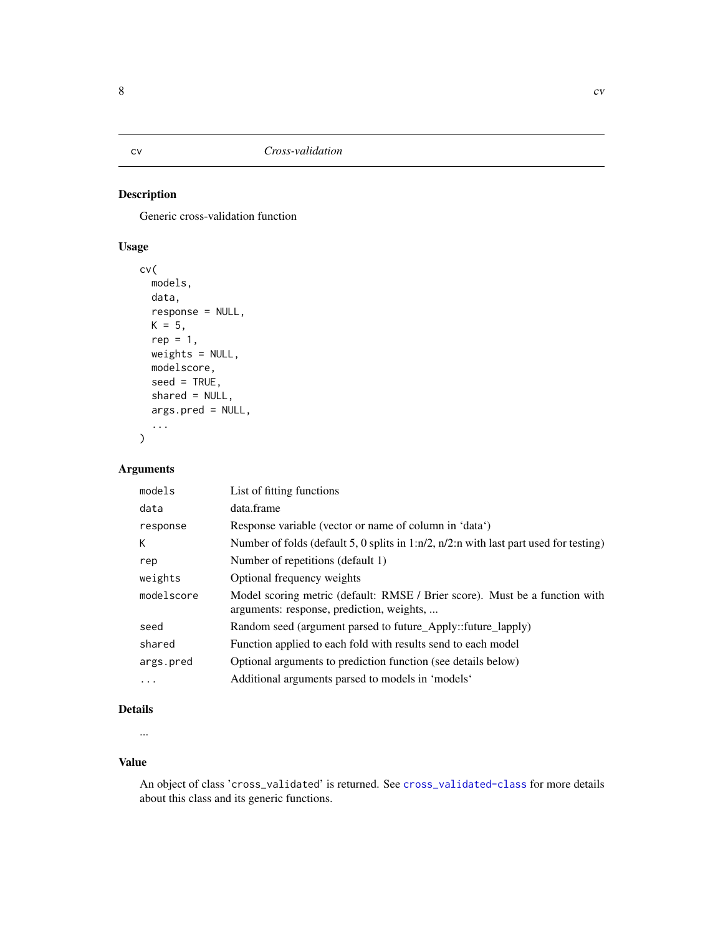Generic cross-validation function

### Usage

```
cv(
  models,
  data,
  response = NULL,
  K = 5,
  rep = 1,weights = NULL,
  modelscore,
  seed = TRUE,shared = NULL,
  args.pred = NULL,
  ...
\mathcal{L}
```
#### Arguments

| models     | List of fitting functions                                                                                                |
|------------|--------------------------------------------------------------------------------------------------------------------------|
| data       | data.frame                                                                                                               |
| response   | Response variable (vector or name of column in 'data')                                                                   |
| К          | Number of folds (default 5, 0 splits in $1:n/2$ , $n/2:n$ with last part used for testing)                               |
| rep        | Number of repetitions (default 1)                                                                                        |
| weights    | Optional frequency weights                                                                                               |
| modelscore | Model scoring metric (default: RMSE / Brier score). Must be a function with<br>arguments: response, prediction, weights, |
| seed       | Random seed (argument parsed to future_Apply::future_lapply)                                                             |
| shared     | Function applied to each fold with results send to each model                                                            |
| args.pred  | Optional arguments to prediction function (see details below)                                                            |
| $\ddotsc$  | Additional arguments parsed to models in 'models'                                                                        |

#### Details

...

#### Value

An object of class 'cross\_validated' is returned. See [cross\\_validated-class](#page-6-1) for more details about this class and its generic functions.

<span id="page-7-1"></span><span id="page-7-0"></span>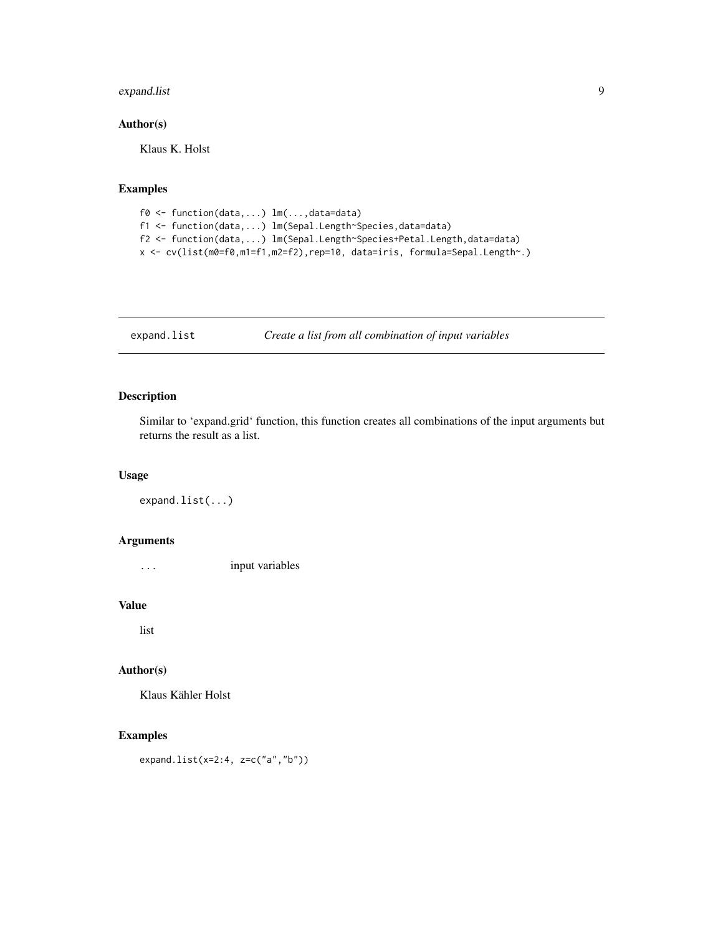#### <span id="page-8-0"></span>expand.list 9

#### Author(s)

Klaus K. Holst

#### Examples

```
f0 <- function(data,...) lm(...,data=data)
f1 <- function(data,...) lm(Sepal.Length~Species,data=data)
f2 <- function(data,...) lm(Sepal.Length~Species+Petal.Length,data=data)
x <- cv(list(m0=f0,m1=f1,m2=f2),rep=10, data=iris, formula=Sepal.Length~.)
```
expand.list *Create a list from all combination of input variables*

#### Description

Similar to 'expand.grid' function, this function creates all combinations of the input arguments but returns the result as a list.

#### Usage

expand.list(...)

#### Arguments

... input variables

#### Value

list

#### Author(s)

Klaus Kähler Holst

#### Examples

expand.list(x=2:4, z=c("a","b"))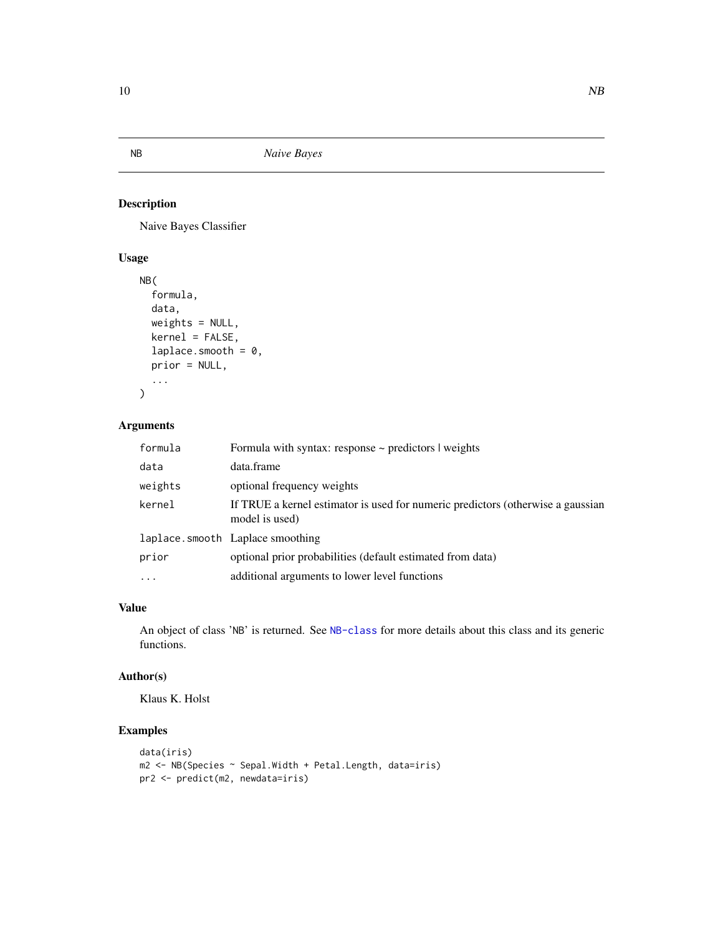<span id="page-9-2"></span><span id="page-9-1"></span><span id="page-9-0"></span>

Naive Bayes Classifier

#### Usage

```
NB(
  formula,
 data,
 weights = NULL,
 kernel = FALSE,
  laplace.smooth = 0,
 prior = NULL,
  ...
)
```
#### Arguments

| formula  | Formula with syntax: response $\sim$ predictors $\mid$ weights                                    |
|----------|---------------------------------------------------------------------------------------------------|
| data     | data.frame                                                                                        |
| weights  | optional frequency weights                                                                        |
| kernel   | If TRUE a kernel estimator is used for numeric predictors (otherwise a gaussian<br>model is used) |
|          | laplace.smooth Laplace smoothing                                                                  |
| prior    | optional prior probabilities (default estimated from data)                                        |
| $\ddots$ | additional arguments to lower level functions                                                     |

#### Value

An object of class 'NB' is returned. See [NB-class](#page-10-1) for more details about this class and its generic functions.

#### Author(s)

Klaus K. Holst

#### Examples

```
data(iris)
m2 <- NB(Species ~ Sepal.Width + Petal.Length, data=iris)
pr2 <- predict(m2, newdata=iris)
```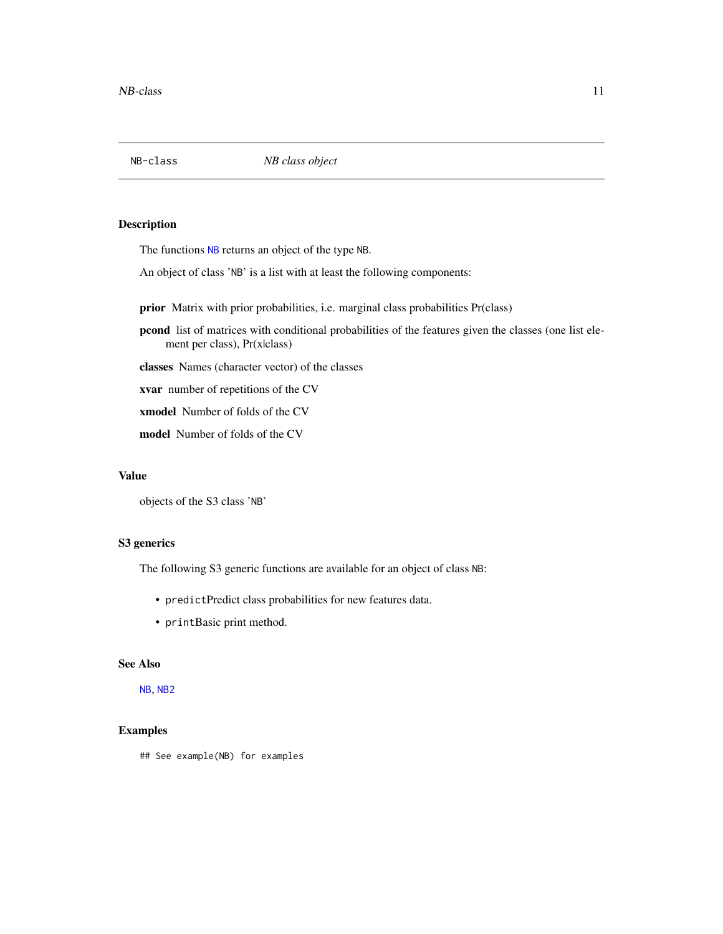<span id="page-10-1"></span><span id="page-10-0"></span>

The functions [NB](#page-9-1) returns an object of the type NB.

An object of class 'NB' is a list with at least the following components:

prior Matrix with prior probabilities, i.e. marginal class probabilities Pr(class)

pcond list of matrices with conditional probabilities of the features given the classes (one list element per class), Pr(x|class)

classes Names (character vector) of the classes

xvar number of repetitions of the CV

xmodel Number of folds of the CV

model Number of folds of the CV

#### Value

objects of the S3 class 'NB'

#### S3 generics

The following S3 generic functions are available for an object of class NB:

- predictPredict class probabilities for new features data.
- printBasic print method.

#### See Also

[NB](#page-9-1), [NB2](#page-9-2)

#### Examples

## See example(NB) for examples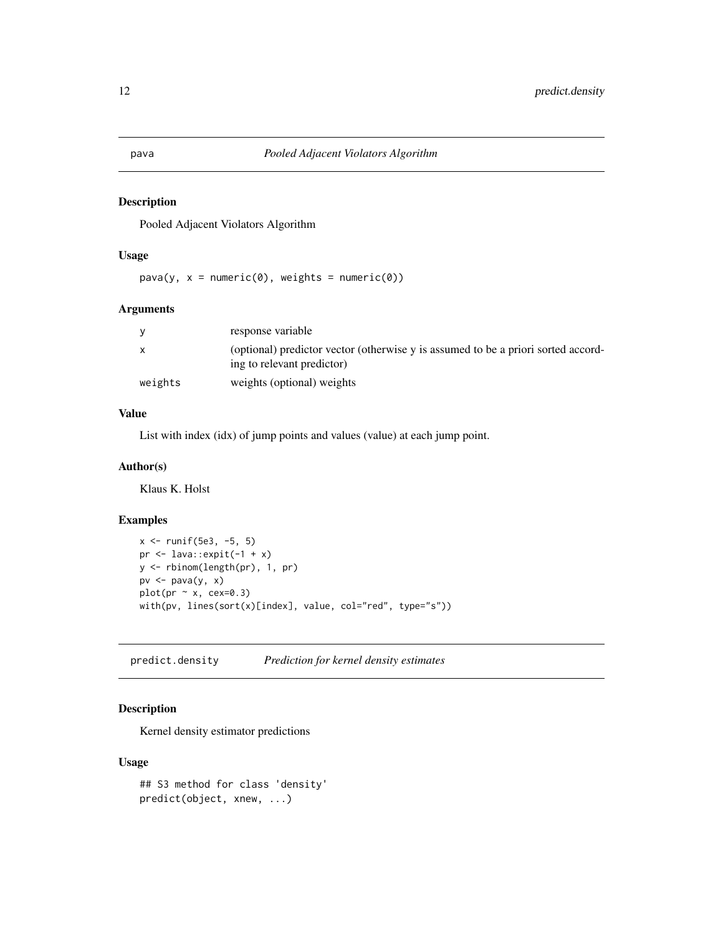Pooled Adjacent Violators Algorithm

#### Usage

 $pava(y, x = numeric(0), weights = numeric(0))$ 

#### Arguments

|              | response variable                                                                                               |
|--------------|-----------------------------------------------------------------------------------------------------------------|
| $\mathsf{x}$ | (optional) predictor vector (otherwise y is assumed to be a priori sorted accord-<br>ing to relevant predictor) |
| weights      | weights (optional) weights                                                                                      |

#### Value

List with index (idx) of jump points and values (value) at each jump point.

#### Author(s)

Klaus K. Holst

#### Examples

```
x <- runif(5e3, -5, 5)
pr \le lava::expit(-1 + x)
y <- rbinom(length(pr), 1, pr)
pv <- pava(y, x)
plot(pr \sim x, cex=0.3)with(pv, lines(sort(x)[index], value, col="red", type="s"))
```
predict.density *Prediction for kernel density estimates*

#### Description

Kernel density estimator predictions

#### Usage

```
## S3 method for class 'density'
predict(object, xnew, ...)
```
<span id="page-11-0"></span>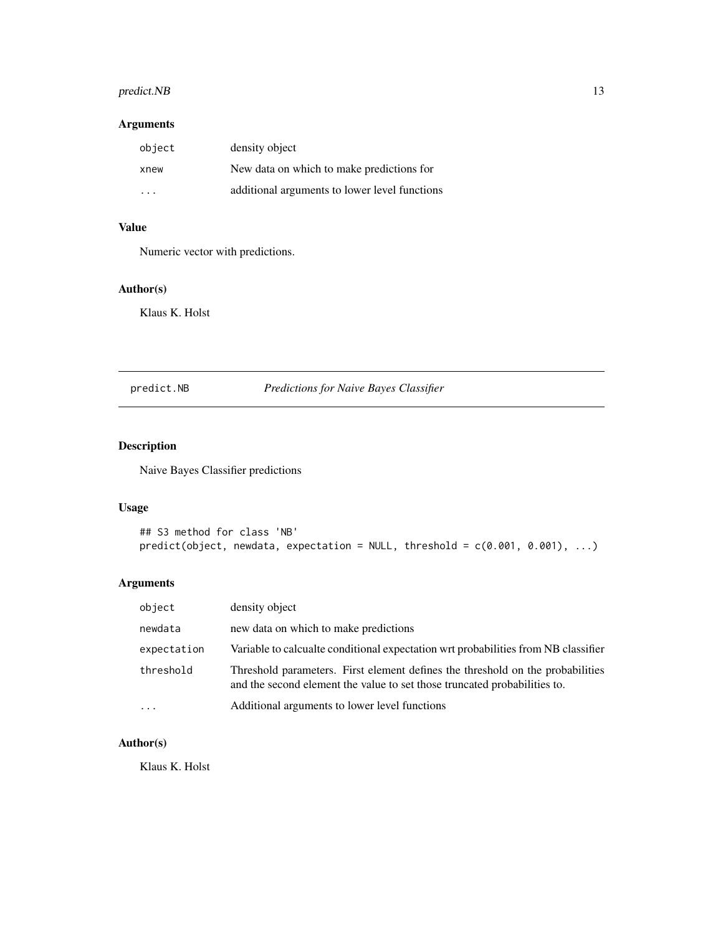#### <span id="page-12-0"></span>predict.NB 13

#### Arguments

| object | density object                                |
|--------|-----------------------------------------------|
| xnew   | New data on which to make predictions for     |
| .      | additional arguments to lower level functions |

#### Value

Numeric vector with predictions.

#### Author(s)

Klaus K. Holst

#### predict.NB *Predictions for Naive Bayes Classifier*

#### Description

Naive Bayes Classifier predictions

#### Usage

```
## S3 method for class 'NB'
predict(object, new data, expectation = NULL, threshold = c(0.001, 0.001), ...)
```
#### Arguments

| object      | density object                                                                                                                                              |
|-------------|-------------------------------------------------------------------------------------------------------------------------------------------------------------|
| newdata     | new data on which to make predictions                                                                                                                       |
| expectation | Variable to calcualte conditional expectation wrt probabilities from NB classifier                                                                          |
| threshold   | Threshold parameters. First element defines the threshold on the probabilities<br>and the second element the value to set those truncated probabilities to. |
| .           | Additional arguments to lower level functions                                                                                                               |

#### Author(s)

Klaus K. Holst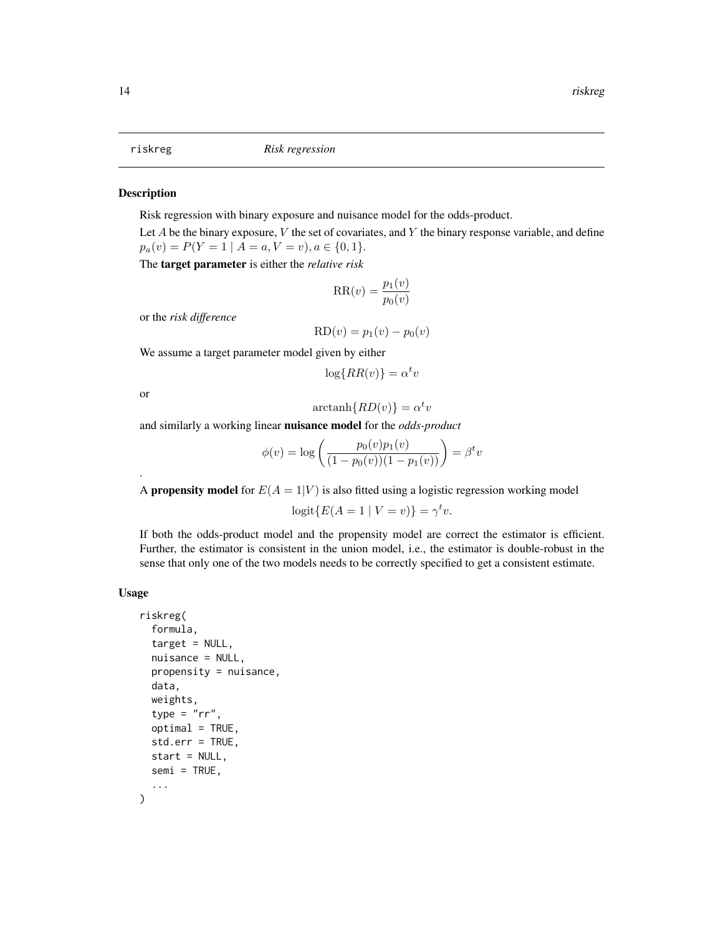<span id="page-13-1"></span><span id="page-13-0"></span>

Risk regression with binary exposure and nuisance model for the odds-product.

Let  $A$  be the binary exposure,  $V$  the set of covariates, and  $Y$  the binary response variable, and define  $p_a(v) = P(Y = 1 | A = a, V = v), a \in \{0, 1\}.$ 

The target parameter is either the *relative risk*

$$
RR(v) = \frac{p_1(v)}{p_0(v)}
$$

or the *risk difference*

$$
RD(v) = p_1(v) - p_0(v)
$$

We assume a target parameter model given by either

$$
\log\{RR(v)\} = \alpha^t v
$$

or

.

$$
\operatorname{arctanh}\{RD(v)\} = \alpha^t v
$$

and similarly a working linear nuisance model for the *odds-product*

$$
\phi(v) = \log \left( \frac{p_0(v)p_1(v)}{(1 - p_0(v))(1 - p_1(v))} \right) = \beta^t v
$$

A **propensity model** for  $E(A = 1|V)$  is also fitted using a logistic regression working model

$$
logit\{E(A=1 \mid V=v)\} = \gamma^t v.
$$

If both the odds-product model and the propensity model are correct the estimator is efficient. Further, the estimator is consistent in the union model, i.e., the estimator is double-robust in the sense that only one of the two models needs to be correctly specified to get a consistent estimate.

#### Usage

```
riskreg(
  formula,
  target = NULL,nuisance = NULL,
 propensity = nuisance,
  data,
  weights,
  type = "rr",optimal = TRUE,
  std.err = TRUE,
  start = NULL,
  semi = TRUE,
  ...
)
```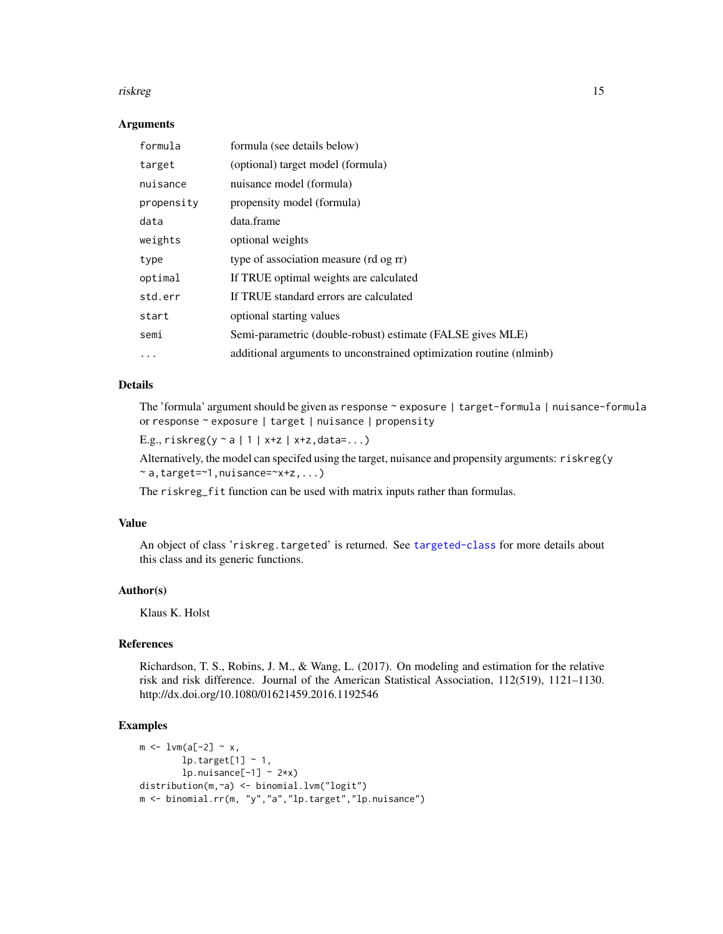#### riskreg til 15

#### Arguments

| formula    | formula (see details below)                                         |
|------------|---------------------------------------------------------------------|
| target     | (optional) target model (formula)                                   |
| nuisance   | nuisance model (formula)                                            |
| propensity | propensity model (formula)                                          |
| data       | data.frame                                                          |
| weights    | optional weights                                                    |
| type       | type of association measure (rd og rr)                              |
| optimal    | If TRUE optimal weights are calculated                              |
| std.err    | If TRUE standard errors are calculated                              |
| start      | optional starting values                                            |
| semi       | Semi-parametric (double-robust) estimate (FALSE gives MLE)          |
| $\ddotsc$  | additional arguments to unconstrained optimization routine (nlminb) |

#### Details

The 'formula' argument should be given as response ~ exposure | target-formula | nuisance-formula or response ~ exposure | target | nuisance | propensity

```
E.g., riskreg(y ~ a | 1 | x+z | x+z,data=...)
```
Alternatively, the model can specifed using the target, nuisance and propensity arguments: riskreg(y  $~\sim$  a, target= $~1$ , nuisance= $~x+z$ , ...)

The riskreg\_fit function can be used with matrix inputs rather than formulas.

#### Value

An object of class 'riskreg.targeted' is returned. See [targeted-class](#page-19-1) for more details about this class and its generic functions.

#### Author(s)

Klaus K. Holst

#### References

Richardson, T. S., Robins, J. M., & Wang, L. (2017). On modeling and estimation for the relative risk and risk difference. Journal of the American Statistical Association, 112(519), 1121–1130. http://dx.doi.org/10.1080/01621459.2016.1192546

#### Examples

```
m \leftarrow 1vm(a[-2] ~ x,
        lp.target[1] ~\sim 1,
        lp.nuisance[-1] \sim 2*x)distribution(m,~a) <- binomial.lvm("logit")
m <- binomial.rr(m, "y","a","lp.target","lp.nuisance")
```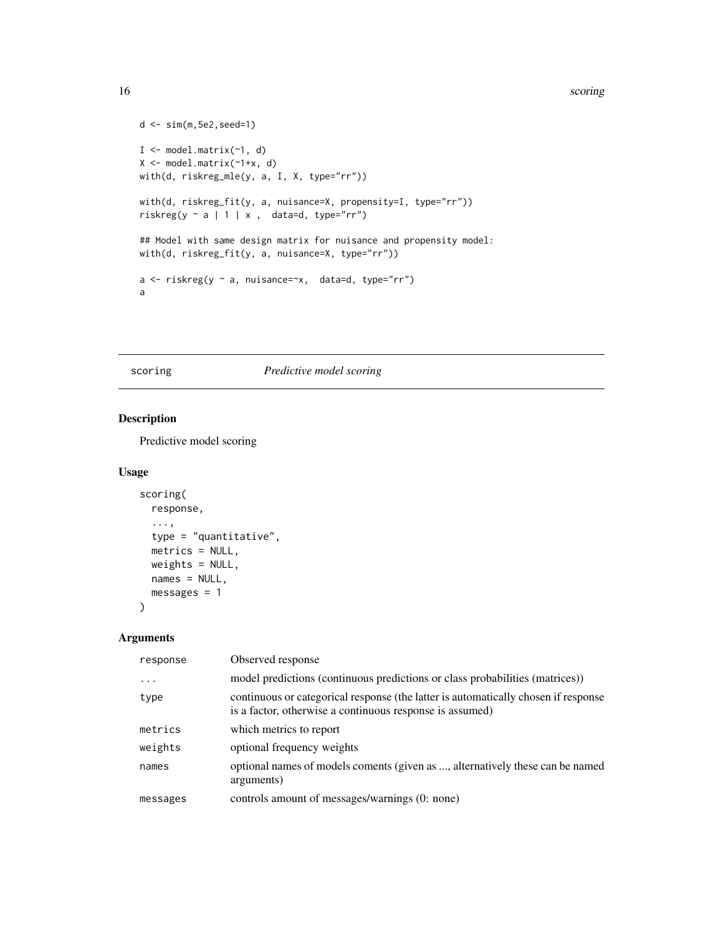#### <span id="page-15-0"></span>16 scoring and the second second second second second second second second second second second second second second second second second second second second second second second second second second second second second

```
d <- sim(m,5e2,seed=1)
I <- model.matrix(~1, d)
X \le - model.matrix(\nu1+x, d)
with(d, riskreg_mle(y, a, I, X, type="rr"))
with(d, riskreg_fit(y, a, nuisance=X, propensity=I, type="rr"))
riskreg(y \sim a | 1 | x, data=d, type="rr")
## Model with same design matrix for nuisance and propensity model:
with(d, riskreg_fit(y, a, nuisance=X, type="rr"))
a \leq r iskreg(y \sim a, nuisance=\sim x, data=d, type="rr")
a
```
scoring *Predictive model scoring*

#### Description

Predictive model scoring

#### Usage

```
scoring(
 response,
  ...,
 type = "quantitative",
 metrics = NULL,
 weights = NULL,
 names = NULL,
 messages = 1)
```
#### Arguments

| response | Observed response                                                                                                                              |
|----------|------------------------------------------------------------------------------------------------------------------------------------------------|
| .        | model predictions (continuous predictions or class probabilities (matrices))                                                                   |
| type     | continuous or categorical response (the latter is automatically chosen if response<br>is a factor, otherwise a continuous response is assumed) |
| metrics  | which metrics to report                                                                                                                        |
| weights  | optional frequency weights                                                                                                                     |
| names    | optional names of models coments (given as , alternatively these can be named<br>arguments)                                                    |
| messages | controls amount of messages/warnings (0: none)                                                                                                 |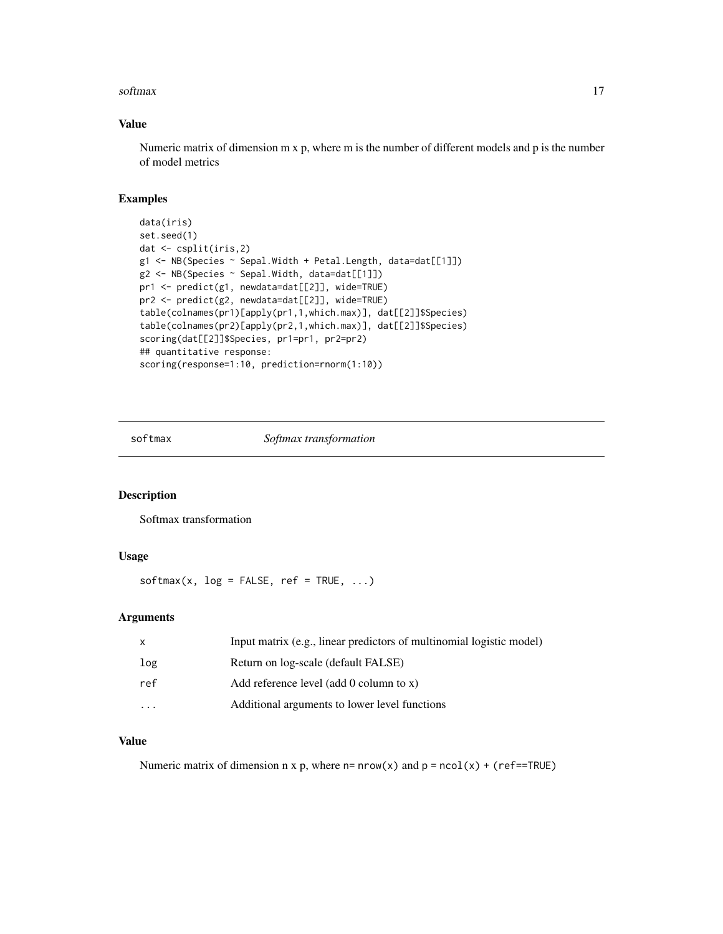#### <span id="page-16-0"></span>softmax and the solution of the set of the solution of the solution of the solution of the solution of the solution of the solution of the solution of the solution of the solution of the solution of the solution of the sol

#### Value

Numeric matrix of dimension m x p, where m is the number of different models and p is the number of model metrics

#### Examples

```
data(iris)
set.seed(1)
dat <- csplit(iris,2)
g1 <- NB(Species ~ Sepal.Width + Petal.Length, data=dat[[1]])
g2 <- NB(Species ~ Sepal.Width, data=dat[[1]])
pr1 <- predict(g1, newdata=dat[[2]], wide=TRUE)
pr2 <- predict(g2, newdata=dat[[2]], wide=TRUE)
table(colnames(pr1)[apply(pr1,1,which.max)], dat[[2]]$Species)
table(colnames(pr2)[apply(pr2,1,which.max)], dat[[2]]$Species)
scoring(dat[[2]]$Species, pr1=pr1, pr2=pr2)
## quantitative response:
scoring(response=1:10, prediction=rnorm(1:10))
```
softmax *Softmax transformation*

#### Description

Softmax transformation

#### Usage

 $softmax(x, log = FALSE, ref = TRUE, ...)$ 

#### Arguments

| X        | Input matrix (e.g., linear predictors of multinomial logistic model) |
|----------|----------------------------------------------------------------------|
| log      | Return on log-scale (default FALSE)                                  |
| ref      | Add reference level (add 0 column to $x$ )                           |
| $\cdots$ | Additional arguments to lower level functions                        |

#### Value

Numeric matrix of dimension n x p, where  $n = nrow(x)$  and  $p = ncol(x) + (ref == TRUE)$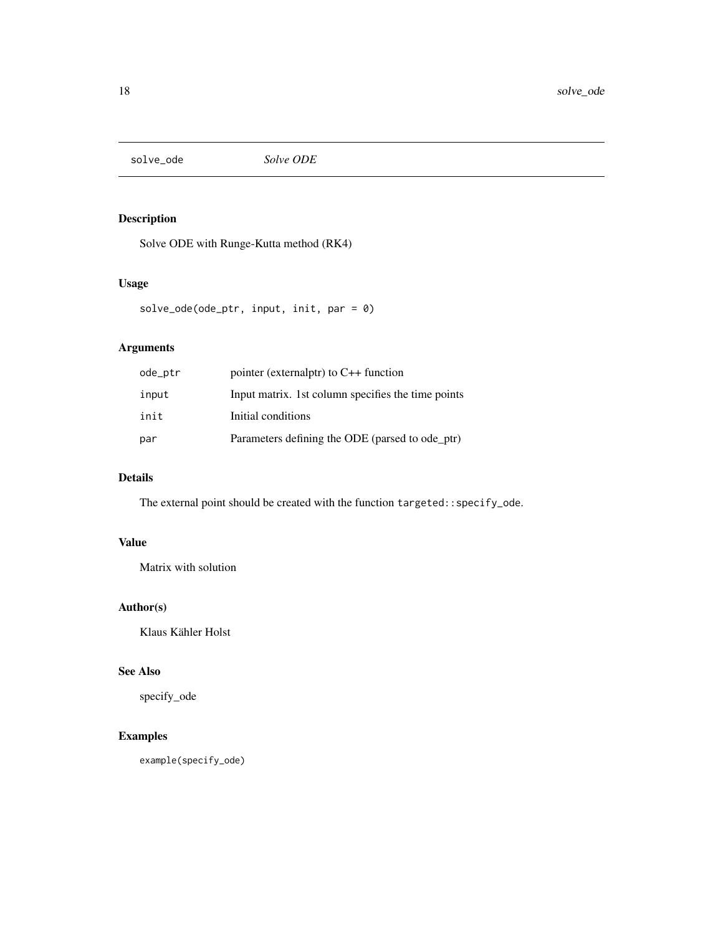<span id="page-17-0"></span>solve\_ode *Solve ODE*

#### Description

Solve ODE with Runge-Kutta method (RK4)

#### Usage

```
solve_ode(ode_ptr, input, init, par = 0)
```
#### Arguments

| ode_ptr | pointer (externalptr) to $C++$ function            |
|---------|----------------------------------------------------|
| input   | Input matrix. 1st column specifies the time points |
| init    | Initial conditions                                 |
| par     | Parameters defining the ODE (parsed to ode ptr)    |

#### Details

The external point should be created with the function targeted::specify\_ode.

#### Value

Matrix with solution

#### Author(s)

Klaus Kähler Holst

#### See Also

specify\_ode

#### Examples

example(specify\_ode)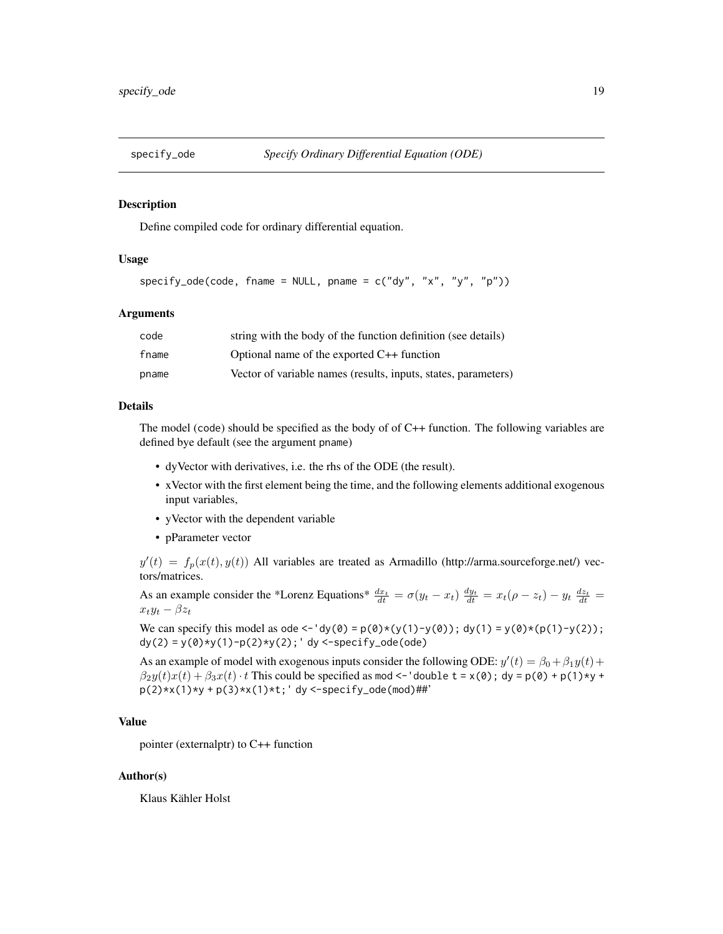<span id="page-18-0"></span>

Define compiled code for ordinary differential equation.

#### Usage

```
specificity\_ode(code, frame = NULL, plane = c("dy", "x", "y", "p"))
```
#### Arguments

| code  | string with the body of the function definition (see details)  |
|-------|----------------------------------------------------------------|
| fname | Optional name of the exported C++ function                     |
| pname | Vector of variable names (results, inputs, states, parameters) |

#### Details

The model (code) should be specified as the body of of C++ function. The following variables are defined bye default (see the argument pname)

- dyVector with derivatives, i.e. the rhs of the ODE (the result).
- xVector with the first element being the time, and the following elements additional exogenous input variables,
- yVector with the dependent variable
- pParameter vector

 $y'(t) = f_p(x(t), y(t))$  All variables are treated as Armadillo (http://arma.sourceforge.net/) vectors/matrices.

As an example consider the \*Lorenz Equations\*  $\frac{dx_t}{dt} = \sigma(y_t - x_t) \frac{dy_t}{dt} = x_t(\rho - z_t) - y_t \frac{dz_t}{dt} =$  $x_ty_t - \beta z_t$ 

We can specify this model as ode <-'dy(0) = p(0)\*(y(1)-y(0)); dy(1) = y(0)\*(p(1)-y(2));  $dy(2) = y(0) * y(1) - p(2) * y(2);' dy < -specify\_ode(ode)$ 

As an example of model with exogenous inputs consider the following ODE:  $y'(t) = \beta_0 + \beta_1 y(t) +$  $\beta_2y(t)x(t) + \beta_3x(t) \cdot t$  This could be specified as mod <-'double t = x(0); dy = p(0) + p(1)\*y +  $p(2)*x(1)*y + p(3)*x(1)*t$ ; 'dy <-specify\_ode(mod)##'

#### Value

pointer (externalptr) to C++ function

#### Author(s)

Klaus Kähler Holst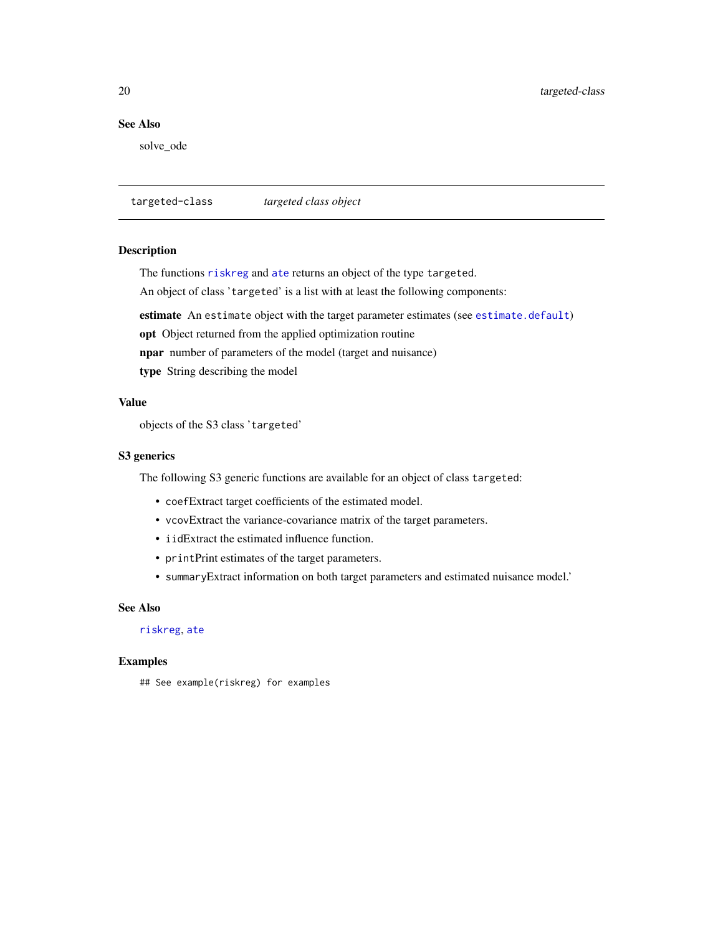#### <span id="page-19-0"></span>See Also

solve\_ode

<span id="page-19-1"></span>targeted-class *targeted class object*

#### Description

The functions [riskreg](#page-13-1) and [ate](#page-2-1) returns an object of the type targeted.

An object of class 'targeted' is a list with at least the following components:

estimate An estimate object with the target parameter estimates (see [estimate.default](#page-0-0))

opt Object returned from the applied optimization routine

npar number of parameters of the model (target and nuisance)

type String describing the model

#### Value

objects of the S3 class 'targeted'

#### S3 generics

The following S3 generic functions are available for an object of class targeted:

- coefExtract target coefficients of the estimated model.
- vcovExtract the variance-covariance matrix of the target parameters.
- iidExtract the estimated influence function.
- printPrint estimates of the target parameters.
- summaryExtract information on both target parameters and estimated nuisance model.'

#### See Also

[riskreg](#page-13-1), [ate](#page-2-1)

#### Examples

## See example(riskreg) for examples